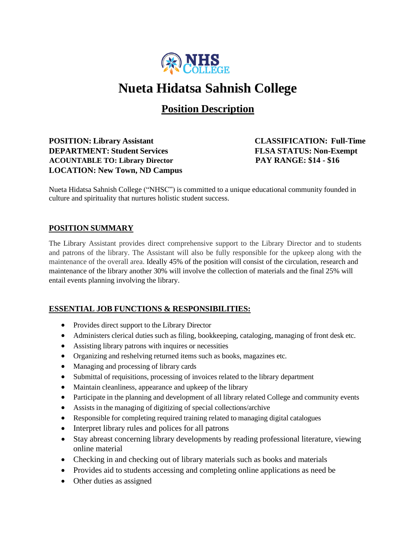

# **Nueta Hidatsa Sahnish College**

**Position Description**

**POSITION: Library Assistant CLASSIFICATION: Full-Time DEPARTMENT: Student Services FLSA STATUS: Non-Exempt ACOUNTABLE TO: Library Director PAY RANGE: \$14 - \$16 LOCATION: New Town, ND Campus**

Nueta Hidatsa Sahnish College ("NHSC") is committed to a unique educational community founded in culture and spirituality that nurtures holistic student success.

### **POSITION SUMMARY**

The Library Assistant provides direct comprehensive support to the Library Director and to students and patrons of the library. The Assistant will also be fully responsible for the upkeep along with the maintenance of the overall area. Ideally 45% of the position will consist of the circulation, research and maintenance of the library another 30% will involve the collection of materials and the final 25% will entail events planning involving the library.

#### **ESSENTIAL JOB FUNCTIONS & RESPONSIBILITIES:**

- Provides direct support to the Library Director
- Administers clerical duties such as filing, bookkeeping, cataloging, managing of front desk etc.
- Assisting library patrons with inquires or necessities
- Organizing and reshelving returned items such as books, magazines etc.
- Managing and processing of library cards
- Submittal of requisitions, processing of invoices related to the library department
- Maintain cleanliness, appearance and upkeep of the library
- Participate in the planning and development of all library related College and community events
- Assists in the managing of digitizing of special collections/archive
- Responsible for completing required training related to managing digital catalogues
- Interpret library rules and polices for all patrons
- Stay abreast concerning library developments by reading professional literature, viewing online material
- Checking in and checking out of library materials such as books and materials
- Provides aid to students accessing and completing online applications as need be
- Other duties as assigned